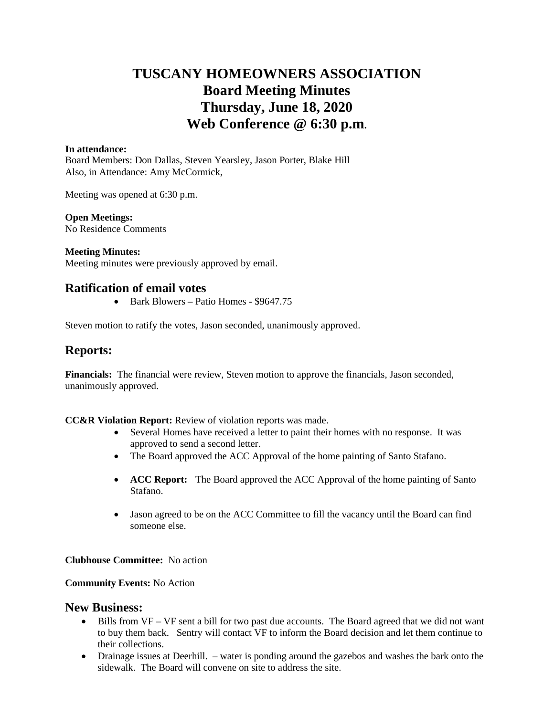## **TUSCANY HOMEOWNERS ASSOCIATION Board Meeting Minutes Thursday, June 18, 2020 Web Conference @ 6:30 p.m.**

#### **In attendance:**

Board Members: Don Dallas, Steven Yearsley, Jason Porter, Blake Hill Also, in Attendance: Amy McCormick,

Meeting was opened at 6:30 p.m.

## **Open Meetings:**

No Residence Comments

## **Meeting Minutes:**

Meeting minutes were previously approved by email.

## **Ratification of email votes**

• Bark Blowers – Patio Homes - \$9647.75

Steven motion to ratify the votes, Jason seconded, unanimously approved.

## **Reports:**

**Financials:** The financial were review, Steven motion to approve the financials, Jason seconded, unanimously approved.

**CC&R Violation Report:** Review of violation reports was made.

- Several Homes have received a letter to paint their homes with no response. It was approved to send a second letter.
- The Board approved the ACC Approval of the home painting of Santo Stafano.
- **ACC Report:** The Board approved the ACC Approval of the home painting of Santo Stafano.
- Jason agreed to be on the ACC Committee to fill the vacancy until the Board can find someone else.

## **Clubhouse Committee:** No action

## **Community Events:** No Action

## **New Business:**

- Bills from VF VF sent a bill for two past due accounts. The Board agreed that we did not want to buy them back. Sentry will contact VF to inform the Board decision and let them continue to their collections.
- Drainage issues at Deerhill. water is ponding around the gazebos and washes the bark onto the sidewalk. The Board will convene on site to address the site.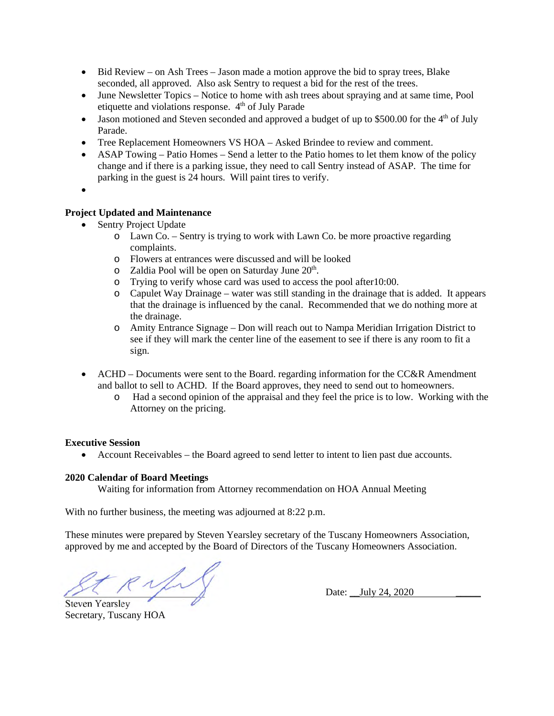- Bid Review on Ash Trees Jason made a motion approve the bid to spray trees, Blake seconded, all approved. Also ask Sentry to request a bid for the rest of the trees.
- June Newsletter Topics Notice to home with ash trees about spraying and at same time, Pool etiquette and violations response. 4<sup>th</sup> of July Parade
- $\bullet$  Jason motioned and Steven seconded and approved a budget of up to \$500.00 for the 4<sup>th</sup> of July Parade.
- Tree Replacement Homeowners VS HOA Asked Brindee to review and comment.
- ASAP Towing Patio Homes Send a letter to the Patio homes to let them know of the policy change and if there is a parking issue, they need to call Sentry instead of ASAP. The time for parking in the guest is 24 hours. Will paint tires to verify.
- $\bullet$

## **Project Updated and Maintenance**

- Sentry Project Update
	- o Lawn Co. Sentry is trying to work with Lawn Co. be more proactive regarding complaints.
	- o Flowers at entrances were discussed and will be looked
	- $\circ$  Zaldia Pool will be open on Saturday June  $20<sup>th</sup>$ .
	- o Trying to verify whose card was used to access the pool after10:00.
	- o Capulet Way Drainage water was still standing in the drainage that is added. It appears that the drainage is influenced by the canal. Recommended that we do nothing more at the drainage.
	- o Amity Entrance Signage Don will reach out to Nampa Meridian Irrigation District to see if they will mark the center line of the easement to see if there is any room to fit a sign.
- ACHD Documents were sent to the Board. regarding information for the  $CC&R$  Amendment and ballot to sell to ACHD. If the Board approves, they need to send out to homeowners.
	- o Had a second opinion of the appraisal and they feel the price is to low. Working with the Attorney on the pricing.

## **Executive Session**

Account Receivables – the Board agreed to send letter to intent to lien past due accounts.

## **2020 Calendar of Board Meetings**

Waiting for information from Attorney recommendation on HOA Annual Meeting

With no further business, the meeting was adjourned at 8:22 p.m.

These minutes were prepared by Steven Yearsley secretary of the Tuscany Homeowners Association, approved by me and accepted by the Board of Directors of the Tuscany Homeowners Association.

 $\ll \sqrt{2\sqrt{2\pi}}$  Date: \_July 24, 2020 Steven Yearsley

Secretary, Tuscany HOA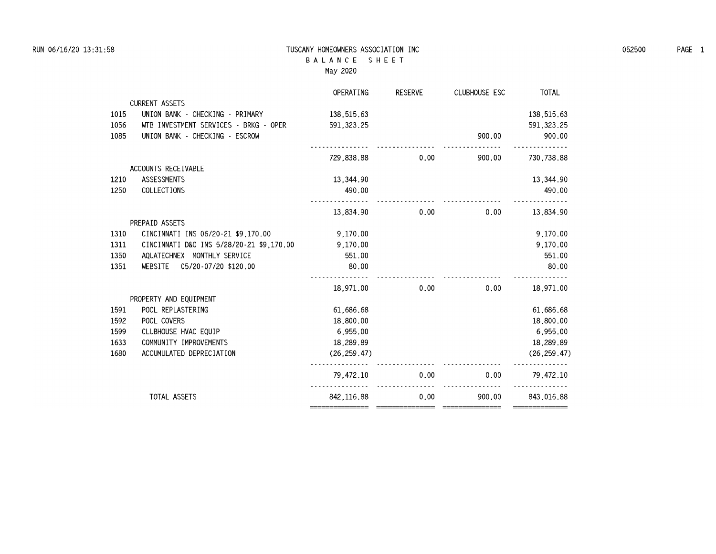### **RUN 06/16/20 13:31:58 TUSCANY HOMEOWNERS ASSOCIATION INC 052500 PAGE 1 B A L A N C E S H E E T May 2020**

|      |                                          | OPERATING    | <b>RESERVE</b> | <b>CLUBHOUSE ESC</b> | <b>TOTAL</b>  |
|------|------------------------------------------|--------------|----------------|----------------------|---------------|
|      | <b>CURRENT ASSETS</b>                    |              |                |                      |               |
| 1015 | UNION BANK - CHECKING - PRIMARY          | 138,515.63   |                |                      | 138,515.63    |
| 1056 | WTB INVESTMENT SERVICES - BRKG - OPER    | 591, 323, 25 |                |                      | 591, 323.25   |
| 1085 | UNION BANK - CHECKING - ESCROW           |              |                | 900.00               | 900.00        |
|      |                                          | 729,838,88   | 0.00           | 900.00               | 730.738.88    |
|      | ACCOUNTS RECEIVABLE                      |              |                |                      |               |
| 1210 | <b>ASSESSMENTS</b>                       | 13,344.90    |                |                      | 13.344.90     |
| 1250 | COLLECTIONS                              | 490.00       |                |                      | 490.00        |
|      |                                          |              |                |                      |               |
|      |                                          | 13,834.90    | 0.00           | 0.00                 | 13.834.90     |
|      | PREPAID ASSETS                           |              |                |                      |               |
| 1310 | CINCINNATI INS 06/20-21 \$9.170.00       | 9.170.00     |                |                      | 9.170.00      |
| 1311 | CINCINNATI D&O INS 5/28/20-21 \$9,170.00 | 9,170.00     |                |                      | 9,170.00      |
| 1350 | AQUATECHNEX MONTHLY SERVICE              | 551.00       |                |                      | 551.00        |
| 1351 | 05/20-07/20 \$120.00<br>WEBSITE          | 80.00        |                |                      | 80.00         |
|      |                                          |              |                |                      |               |
|      |                                          | 18.971.00    | 0.00           | 0.00                 | 18.971.00     |
|      | PROPERTY AND EQUIPMENT                   |              |                |                      |               |
| 1591 | POOL REPLASTERING                        | 61,686.68    |                |                      | 61,686.68     |
| 1592 | POOL COVERS                              | 18,800.00    |                |                      | 18,800.00     |
| 1599 | CLUBHOUSE HVAC EQUIP                     | 6,955.00     |                |                      | 6,955.00      |
| 1633 | COMMUNITY IMPROVEMENTS                   | 18,289.89    |                |                      | 18,289.89     |
| 1680 | ACCUMULATED DEPRECIATION                 | (26.259.47)  |                |                      | (26, 259, 47) |
|      |                                          | 79.472.10    | 0.00           | 0.00                 | 79.472.10     |
|      | TOTAL ASSETS                             | 842.116.88   | 0.00           | 900.00               | 843.016.88    |
|      |                                          |              |                |                      |               |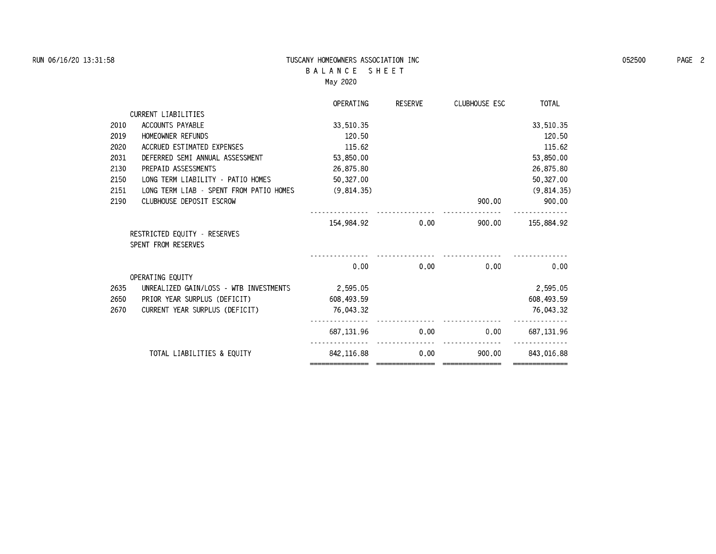### **RUN 06/16/20 13:31:58 TUSCANY HOMEOWNERS ASSOCIATION INC 052500 PAGE 2 B A L A N C E S H E E T May 2020**

|      |                                         | OPERATING    | RESERVE | CLUBHOUSE ESC | <b>TOTAL</b> |
|------|-----------------------------------------|--------------|---------|---------------|--------------|
|      | <b>CURRENT LIABILITIES</b>              |              |         |               |              |
| 2010 | ACCOUNTS PAYABLE                        | 33.510.35    |         |               | 33,510.35    |
| 2019 | HOMEOWNER REFUNDS                       | 120.50       |         |               | 120.50       |
| 2020 | ACCRUED ESTIMATED EXPENSES              | 115.62       |         |               | 115.62       |
| 2031 | DEFERRED SEMI ANNUAL ASSESSMENT         | 53,850.00    |         |               | 53,850.00    |
| 2130 | PREPAID ASSESSMENTS                     | 26,875.80    |         |               | 26,875.80    |
| 2150 | LONG TERM LIABILITY - PATIO HOMES       | 50,327.00    |         |               | 50,327.00    |
| 2151 | LONG TERM LIAB - SPENT FROM PATIO HOMES | (9,814.35)   |         |               | (9,814.35)   |
| 2190 | CLUBHOUSE DEPOSIT ESCROW                |              |         | 900.00        | 900.00       |
|      |                                         |              |         |               |              |
|      |                                         | 154.984.92   | 0.00    | 900.00        | 155,884.92   |
|      | RESTRICTED EQUITY - RESERVES            |              |         |               |              |
|      | SPENT FROM RESERVES                     |              |         |               |              |
|      |                                         |              |         |               |              |
|      |                                         | 0.00         | 0.00    | 0.00          | 0.00         |
|      | OPERATING EOUITY                        |              |         |               |              |
| 2635 | UNREALIZED GAIN/LOSS - WTB INVESTMENTS  | 2.595.05     |         |               | 2,595.05     |
| 2650 | PRIOR YEAR SURPLUS (DEFICIT)            | 608.493.59   |         |               | 608, 493.59  |
| 2670 | CURRENT YEAR SURPLUS (DEFICIT)          | 76,043.32    |         |               | 76.043.32    |
|      |                                         |              |         |               |              |
|      |                                         | 687, 131, 96 | 0.00    | 0.00          | 687, 131, 96 |
|      |                                         |              |         |               |              |
|      | TOTAL LIABILITIES & EQUITY              | 842.116.88   | 0.00    | 900.00        | 843,016.88   |
|      |                                         |              |         |               |              |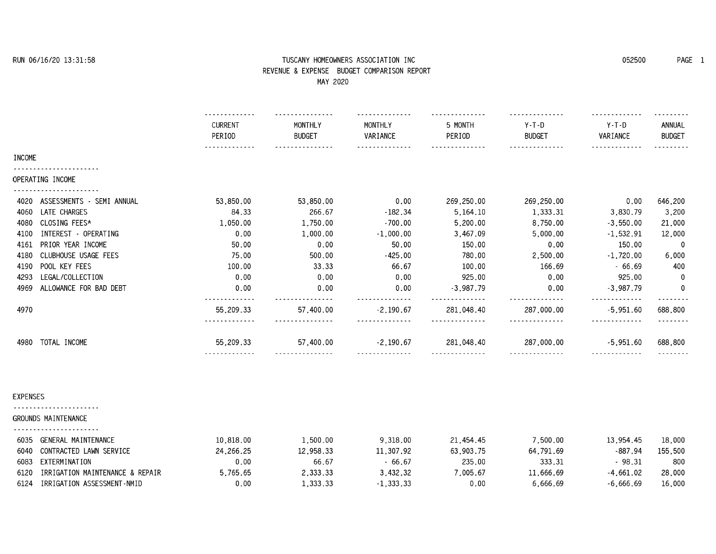# **RUN 06/16/20 13:31:58 TUSCANY HOMEOWNERS ASSOCIATION INC 052500 PAGE 1 REVENUE & EXPENSE BUDGET COMPARISON REPORT**

| MAY 2020                          |                          |                          |                     |                   |                          |                     |                         |
|-----------------------------------|--------------------------|--------------------------|---------------------|-------------------|--------------------------|---------------------|-------------------------|
|                                   | <b>CURRENT</b><br>PERIOD | MONTHLY<br><b>BUDGET</b> | MONTHLY<br>VARIANCE | 5 MONTH<br>PERIOD | $Y-T-D$<br><b>BUDGET</b> | $Y-T-D$<br>VARIANCE | ANNUAL<br><b>BUDGET</b> |
| <b>INCOME</b>                     | .                        |                          |                     |                   | . <b>.</b> .             |                     |                         |
| OPERATING INCOME                  |                          |                          |                     |                   |                          |                     |                         |
| ASSESSMENTS - SEMI ANNUAL<br>4020 | 53.850.00                | 53,850.00                | 0.00                | 269,250.00        | 269,250.00               | 0.00                | 646,200                 |
| LATE CHARGES<br>4060              | 84.33                    | 266.67                   | $-182.34$           | 5,164.10          | 1,333.31                 | 3,830.79            | 3,200                   |
| CLOSING FEES*<br>4080             | 1,050.00                 | 1,750.00                 | $-700.00$           | 5,200.00          | 8,750.00                 | $-3,550.00$         | 21,000                  |
| INTEREST - OPERATING<br>4100      | 0.00                     | 1,000.00                 | $-1,000.00$         | 3,467.09          | 5,000.00                 | $-1,532.91$         | 12,000                  |
| PRIOR YEAR INCOME<br>4161         | 50.00                    | 0.00                     | 50.00               | 150.00            | 0.00                     | 150.00              | 0                       |
| CLUBHOUSE USAGE FEES<br>4180      | 75.00                    | 500.00                   | $-425.00$           | 780.00            | 2,500.00                 | $-1,720.00$         | 6,000                   |
| POOL KEY FEES<br>4190             | 100.00                   | 33.33                    | 66.67               | 100.00            | 166.69                   | $-66.69$            | 400                     |
| LEGAL/COLLECTION<br>4293          | 0.00                     | 0.00                     | 0.00                | 925.00            | 0.00                     | 925.00              | -0                      |
| 4969<br>ALLOWANCE FOR BAD DEBT    | 0.00                     | 0.00                     | 0.00                | $-3,987,79$       | 0.00                     | $-3,987.79$         | 0<br>.                  |
| 4970                              | 55,209.33<br>.           | 57,400.00                | $-2,190.67$         | 281,048.40        | 287,000.00               | $-5,951.60$<br>.    | 688,800<br>.            |
| TOTAL INCOME<br>4980              | 55,209.33                | 57,400.00                | $-2.190.67$         | 281,048.40        | 287,000.00               | $-5,951,60$         | 688,800                 |
|                                   |                          | .                        |                     |                   | .                        | .                   | .                       |
|                                   |                          |                          |                     |                   |                          |                     |                         |
| EXPENSES                          |                          |                          |                     |                   |                          |                     |                         |
| GROUNDS MAINTENANCE               |                          |                          |                     |                   |                          |                     |                         |
| 6035 GENERAL MAINTENANCE          | 10,818.00                | 1,500.00                 | 9,318.00            | 21,454.45         | 7,500.00                 | 13,954.45           | 18,000                  |
| 6040 CONTRACTED LAWN SERVICE      | 24,266.25                | 12,958.33                | 11,307.92           | 63,903.75         | 64,791.69                | -887.94             | 155,500                 |
| 6083 EXTERMINATION                | _ര _രെ                   | 66.67                    | - 66.67             | 235.00            | 333 31                   | - 98.31             | -800                    |

|      | 6035 GENERAL MAINTENANCE             | 10.818.00 | 500.00       | 9.318.00  | 21.454.45           | 7.500.00  | 13.954.45 | 18.000  |
|------|--------------------------------------|-----------|--------------|-----------|---------------------|-----------|-----------|---------|
|      | 6040 CONTRACTED LAWN SERVICE         | 24,266,25 | 12.958.33    | 11.307.92 | 63.903.75           | 64.791.69 | -887.94   | 155.500 |
|      | 6083 EXTERMINATION                   | 0.00      | 66.67        | 66.67     | 235.00              | 333.31    | 98.31     | 800     |
|      | 6120 IRRIGATION MAINTENANCE & REPAIR | 5.765.65  | 2.333.33     | 3.432.32  | $^{\prime}$ .005.67 | 11.666.69 | -4.661.02 | 28.000  |
| 6124 | IRRIGATION ASSESSMENT-NMID           | 0.00      | . . 333 . 33 | .333.33   | 0.00                | 6.666.69  | -6.666.69 | 16.000  |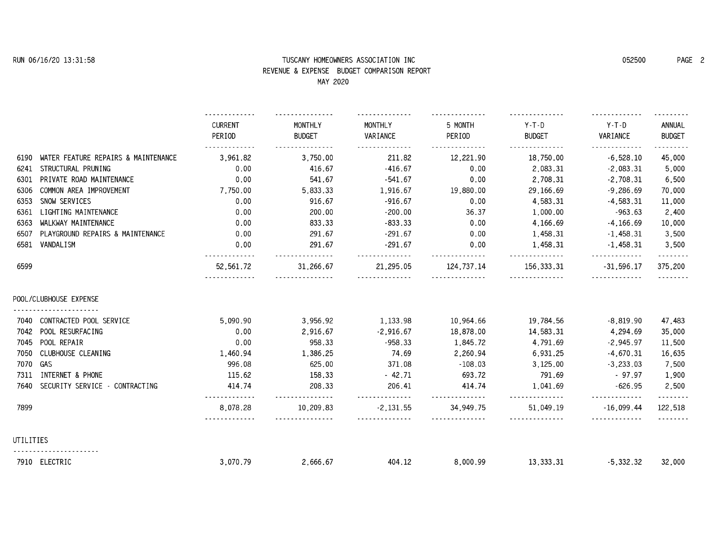## **RUN 06/16/20 13:31:58 TUSCANY HOMEOWNERS ASSOCIATION INC 052500 PAGE 2 REVENUE & EXPENSE BUDGET COMPARISON REPORT**

|           |                                     |                          | MAY 2020                 |                       |                     |                          |                        |                          |
|-----------|-------------------------------------|--------------------------|--------------------------|-----------------------|---------------------|--------------------------|------------------------|--------------------------|
|           |                                     | <b>CURRENT</b><br>PERIOD | MONTHLY<br><b>BUDGET</b> | MONTHLY<br>VARIANCE   | 5 MONTH<br>PERIOD   | $Y-T-D$<br><b>BUDGET</b> | $Y-T-D$<br>VARIANCE    | ANNUAL<br><b>BUDGET</b>  |
| 6190      | WATER FEATURE REPAIRS & MAINTENANCE | 3,961.82                 | 3.750.00                 | 211.82                | 12,221.90           | 18,750.00                | $-6,528.10$            | <u>.</u><br>45,000       |
| 6241      | STRUCTURAL PRUNING                  | 0.00                     | 416.67                   | $-416.67$             | 0.00                | 2,083.31                 | $-2.083.31$            | 5,000                    |
| 6301      | PRIVATE ROAD MAINTENANCE            | 0.00                     | 541.67                   | $-541.67$             | 0.00                | 2,708.31                 | $-2,708.31$            | 6,500                    |
| 6306      | COMMON AREA IMPROVEMENT             | 7,750.00                 | 5,833.33                 | 1,916.67              | 19,880.00           | 29,166.69                | $-9,286.69$            | 70,000                   |
| 6353      | SNOW SERVICES                       | 0.00                     | 916.67                   | $-916.67$             | 0.00                | 4,583.31                 | 4.583.31               | 11,000                   |
| 6361      | LIGHTING MAINTENANCE                | 0.00                     | 200.00                   | $-200.00$             | 36.37               | 1,000.00                 | $-963.63$              | 2,400                    |
| 6363      | WALKWAY MAINTENANCE                 | 0.00                     | 833.33                   | $-833.33$             | 0.00                | 4,166.69                 | $-4.166.69$            | 10,000                   |
| 6507      | PLAYGROUND REPAIRS & MAINTENANCE    | 0.00                     | 291.67                   | $-291.67$             | 0.00                | 1,458.31                 | $-1,458.31$            | 3,500                    |
| 6581      | VANDALISM                           | 0.00                     | 291.67                   | $-291.67$             | 0.00                | 1,458.31                 | $-1,458,31$            | 3,500                    |
| 6599      |                                     | 52,561.72                | 31,266.67                | .<br>21,295.05        | 124,737.14          | <u>.</u><br>156, 333, 31 | $-31,596,17$           | .<br>375,200             |
|           | POOL/CLUBHOUSE EXPENSE              |                          |                          |                       |                     |                          |                        |                          |
| 7040      | CONTRACTED POOL SERVICE             | 5.090.90                 | 3.956.92                 | 1.133.98              | 10.964.66           | 19,784.56                | $-8.819.90$            | 47,483                   |
| 7042      | POOL RESURFACING                    | 0.00                     | 2,916.67                 | $-2,916.67$           | 18,878.00           | 14,583.31                | 4,294.69               | 35,000                   |
| 7045      | POOL REPAIR                         | 0.00                     | 958.33                   | $-958.33$             | 1,845.72            | 4,791.69                 | $-2.945.97$            | 11,500                   |
| 7050      | CLUBHOUSE CLEANING                  | 1,460.94                 | 1,386.25                 | 74.69                 | 2,260.94            | 6,931.25                 | $-4.670.31$            | 16,635                   |
| 7070      | GAS                                 | 996.08                   | 625.00                   | 371.08                | $-108.03$           | 3,125.00                 | $-3,233.03$            | 7,500                    |
| 7311      | INTERNET & PHONE                    | 115.62                   | 158.33                   | $-42.71$              | 693.72              | 791.69                   | $-97.97$               | 1,900                    |
| 7640      | SECURITY SERVICE - CONTRACTING      | 414.74                   | 208.33                   | 206.41                | 414.74              | 1,041.69                 | $-626.95$              | 2,500                    |
| 7899      |                                     | .<br>8.078.28<br>.       | .<br>10.209.83<br>.      | .<br>$-2.131.55$<br>. | .<br>34.949.75<br>. | .<br>51.049.19<br>.      | .<br>$-16.099.44$<br>. | <u>.</u><br>122,518<br>. |
| UTILITIES |                                     |                          |                          |                       |                     |                          |                        |                          |
|           | 7910 ELECTRIC                       | 3.070.79                 | 2.666.67                 | 404.12                | 8.000.99            | 13.333.31                | $-5,332,32$            | 32,000                   |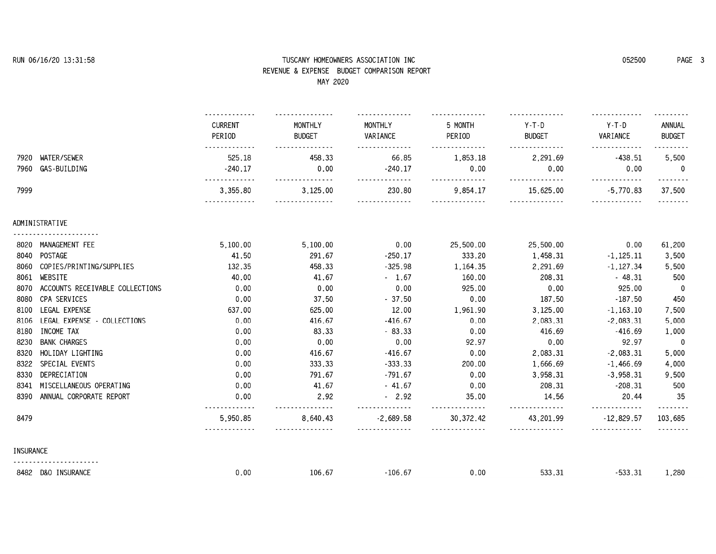## **RUN 06/16/20 13:31:58 TUSCANY HOMEOWNERS ASSOCIATION INC 052500 PAGE 3 REVENUE & EXPENSE BUDGET COMPARISON REPORT**

|                  | MAY 2020                        |                          |                                                                                                 |                     |                   |                          |                     |                         |
|------------------|---------------------------------|--------------------------|-------------------------------------------------------------------------------------------------|---------------------|-------------------|--------------------------|---------------------|-------------------------|
|                  |                                 | <b>CURRENT</b><br>PERIOD | MONTHLY<br><b>BUDGET</b>                                                                        | MONTHLY<br>VARIANCE | 5 MONTH<br>PERIOD | $Y-T-D$<br><b>BUDGET</b> | $Y-T-D$<br>VARIANCE | ANNUAL<br><b>BUDGET</b> |
| 7920             | WATER/SEWER                     | 525.18                   | 458.33                                                                                          | 66.85               | 1,853.18          | 2,291.69                 | $-438.51$           | 5,500                   |
| 7960             | GAS-BUILDING                    | $-240.17$                | 0.00                                                                                            | $-240.17$           | 0.00              | 0.00                     | 0.00                | $\mathbf{0}$            |
| 7999             |                                 | 3,355.80                 | 3,125.00                                                                                        | 230.80              | 9.854.17          | 15,625.00                | $-5,770.83$         | 37.500                  |
|                  | ADMINISTRATIVE                  |                          |                                                                                                 |                     |                   |                          |                     |                         |
|                  | 8020 MANAGEMENT FEE             | 5.100.00                 | 5,100.00                                                                                        | 0.00                | 25,500.00         | 25,500.00                | 0.00                | 61,200                  |
|                  | 8040 POSTAGE                    | 41.50                    | 291.67                                                                                          | $-250.17$           | 333.20            | 1,458.31                 | $-1,125.11$         | 3,500                   |
| 8060             | COPIES/PRINTING/SUPPLIES        | 132.35                   | 458.33                                                                                          | $-325.98$           | 1,164.35          | 2,291.69                 | $-1,127.34$         | 5,500                   |
| 8061             | WEBSITE                         | 40.00                    | 41.67                                                                                           | $-1.67$             | 160.00            | 208.31                   | $-48.31$            | 500                     |
| 8070             | ACCOUNTS RECEIVABLE COLLECTIONS | 0.00                     | 0.00                                                                                            | 0.00                | 925.00            | 0.00                     | 925.00              | 0                       |
| 8080             | CPA SERVICES                    | 0.00                     | 37.50                                                                                           | $-37.50$            | 0.00              | 187.50                   | $-187.50$           | 450                     |
| 8100             | LEGAL EXPENSE                   | 637.00                   | 625.00                                                                                          | 12.00               | 1,961.90          | 3,125.00                 | $-1.163.10$         | 7,500                   |
| 8106             | LEGAL EXPENSE - COLLECTIONS     | 0.00                     | 416.67                                                                                          | $-416.67$           | 0.00              | 2,083.31                 | $-2,083.31$         | 5,000                   |
| 8180             | INCOME TAX                      | 0.00                     | 83.33                                                                                           | $-83.33$            | 0.00              | 416.69                   | $-416.69$           | 1,000                   |
| 8230             | <b>BANK CHARGES</b>             | 0.00                     | 0.00                                                                                            | 0.00                | 92.97             | 0.00                     | 92.97               | -0                      |
| 8320             | HOLIDAY LIGHTING                | 0.00                     | 416.67                                                                                          | $-416.67$           | 0.00              | 2,083.31                 | $-2,083.31$         | 5,000                   |
| 8322             | SPECIAL EVENTS                  | 0.00                     | 333.33                                                                                          | $-333.33$           | 200.00            | 1,666.69                 | $-1.466.69$         | 4,000                   |
| 8330             | DEPRECIATION                    | 0.00                     | 791.67                                                                                          | $-791.67$           | 0.00              | 3,958.31                 | $-3,958.31$         | 9,500                   |
| 8341             | MISCELLANEOUS OPERATING         | 0.00                     | 41.67                                                                                           | $-41.67$            | 0.00              | 208.31                   | $-208.31$           | 500                     |
| 8390             | ANNUAL CORPORATE REPORT         | 0.00                     | 2.92<br>$\mathbf{L}^{\prime} = \mathbf{L}^{\prime} + \mathbf{L}^{\prime} + \mathbf{L}^{\prime}$ | $-2.92$<br>.        | 35.00<br>.        | 14.56<br>.               | 20.44<br>.          | -35<br><u>.</u>         |
| 8479             |                                 | 5,950.85                 | 8,640.43                                                                                        | $-2,689.58$         | 30, 372.42        | 43,201.99                | $-12,829.57$        | 103,685                 |
| <b>INSURANCE</b> |                                 |                          |                                                                                                 |                     |                   |                          |                     |                         |
|                  | 8482 D&O INSURANCE              | 0.00                     | 106.67                                                                                          | $-106.67$           | 0.00              | 533.31                   | $-533.31$           | 1,280                   |